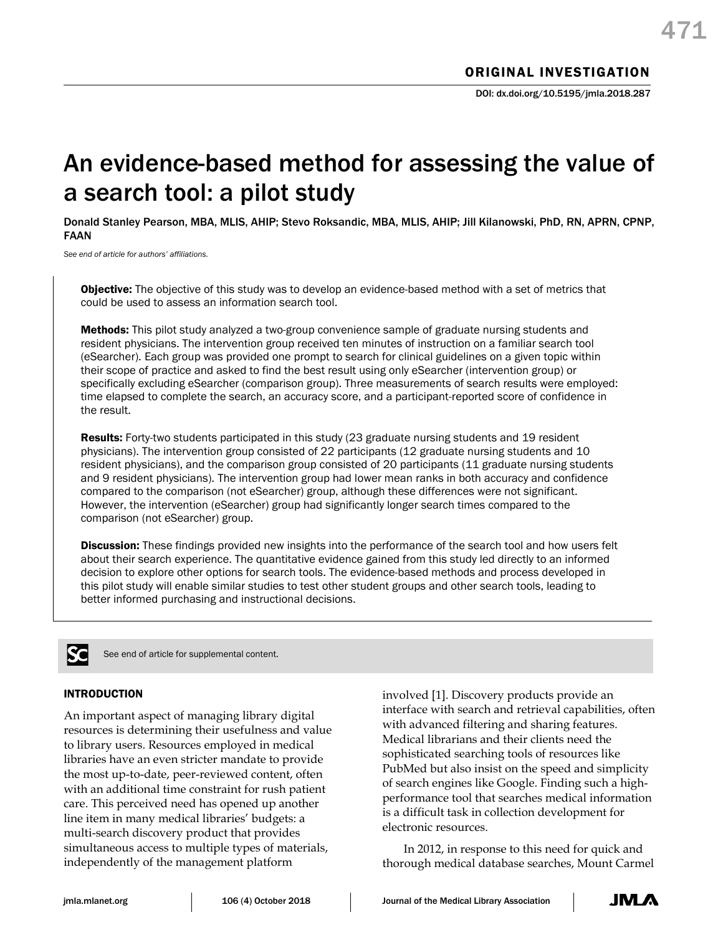# An evidence-based method for assessing the value of a search tool: a pilot study

Donald Stanley Pearson, MBA, MLIS, AHIP; Stevo Roksandic, MBA, MLIS, AHIP; Jill Kilanowski, PhD, RN, APRN, CPNP, FAAN

*See end of article for authors' affiliations.*

**Objective:** The objective of this study was to develop an evidence-based method with a set of metrics that could be used to assess an information search tool.

Methods: This pilot study analyzed a two-group convenience sample of graduate nursing students and resident physicians. The intervention group received ten minutes of instruction on a familiar search tool (eSearcher). Each group was provided one prompt to search for clinical guidelines on a given topic within their scope of practice and asked to find the best result using only eSearcher (intervention group) or specifically excluding eSearcher (comparison group). Three measurements of search results were employed: time elapsed to complete the search, an accuracy score, and a participant-reported score of confidence in the result.

Results: Forty-two students participated in this study (23 graduate nursing students and 19 resident physicians). The intervention group consisted of 22 participants (12 graduate nursing students and 10 resident physicians), and the comparison group consisted of 20 participants (11 graduate nursing students and 9 resident physicians). The intervention group had lower mean ranks in both accuracy and confidence compared to the comparison (not eSearcher) group, although these differences were not significant. However, the intervention (eSearcher) group had significantly longer search times compared to the comparison (not eSearcher) group.

**Discussion:** These findings provided new insights into the performance of the search tool and how users felt about their search experience. The quantitative evidence gained from this study led directly to an informed decision to explore other options for search tools. The evidence-based methods and process developed in this pilot study will enable similar studies to test other student groups and other search tools, leading to better informed purchasing and instructional decisions.



See end of article for supplemental content.

# INTRODUCTION

An important aspect of managing library digital resources is determining their usefulness and value to library users. Resources employed in medical libraries have an even stricter mandate to provide the most up-to-date, peer-reviewed content, often with an additional time constraint for rush patient care. This perceived need has opened up another line item in many medical libraries' budgets: a multi-search discovery product that provides simultaneous access to multiple types of materials, independently of the management platform

involved [1]. Discovery products provide an interface with search and retrieval capabilities, often with advanced filtering and sharing features. Medical librarians and their clients need the sophisticated searching tools of resources like PubMed but also insist on the speed and simplicity of search engines like Google. Finding such a highperformance tool that searches medical information is a difficult task in collection development for electronic resources.

In 2012, in response to this need for quick and thorough medical database searches, Mount Carmel

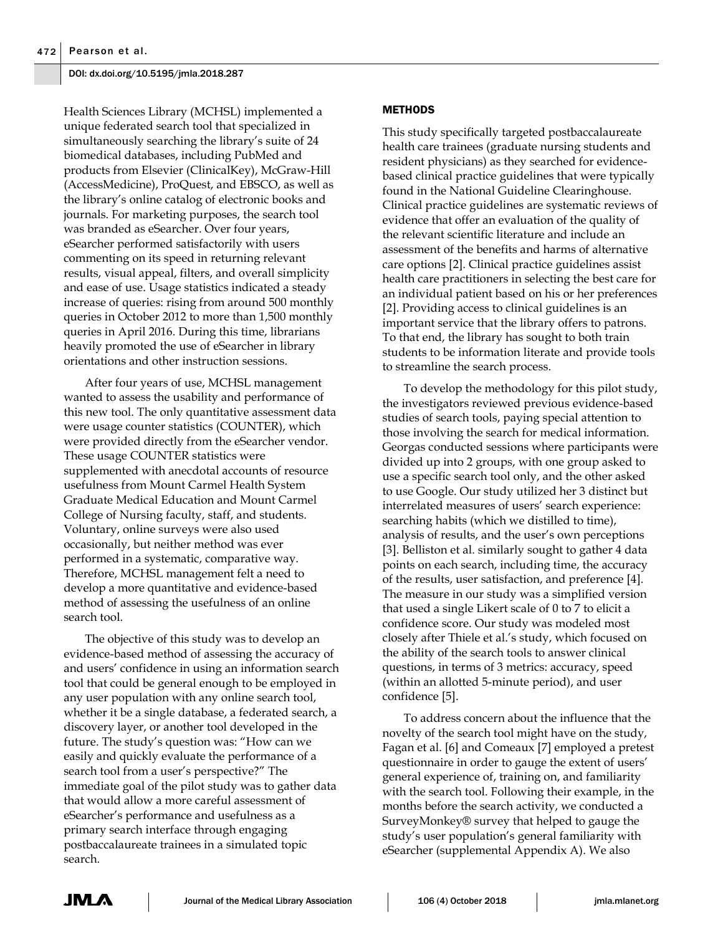Health Sciences Library (MCHSL) implemented a unique federated search tool that specialized in simultaneously searching the library's suite of 24 biomedical databases, including PubMed and products from Elsevier (ClinicalKey), McGraw-Hill (AccessMedicine), ProQuest, and EBSCO, as well as the library's online catalog of electronic books and journals. For marketing purposes, the search tool was branded as eSearcher. Over four years, eSearcher performed satisfactorily with users commenting on its speed in returning relevant results, visual appeal, filters, and overall simplicity and ease of use. Usage statistics indicated a steady increase of queries: rising from around 500 monthly queries in October 2012 to more than 1,500 monthly queries in April 2016. During this time, librarians heavily promoted the use of eSearcher in library orientations and other instruction sessions.

After four years of use, MCHSL management wanted to assess the usability and performance of this new tool. The only quantitative assessment data were usage counter statistics (COUNTER), which were provided directly from the eSearcher vendor. These usage COUNTER statistics were supplemented with anecdotal accounts of resource usefulness from Mount Carmel Health System Graduate Medical Education and Mount Carmel College of Nursing faculty, staff, and students. Voluntary, online surveys were also used occasionally, but neither method was ever performed in a systematic, comparative way. Therefore, MCHSL management felt a need to develop a more quantitative and evidence-based method of assessing the usefulness of an online search tool.

The objective of this study was to develop an evidence-based method of assessing the accuracy of and users' confidence in using an information search tool that could be general enough to be employed in any user population with any online search tool, whether it be a single database, a federated search, a discovery layer, or another tool developed in the future. The study's question was: "How can we easily and quickly evaluate the performance of a search tool from a user's perspective?" The immediate goal of the pilot study was to gather data that would allow a more careful assessment of eSearcher's performance and usefulness as a primary search interface through engaging postbaccalaureate trainees in a simulated topic search.

# **METHODS**

This study specifically targeted postbaccalaureate health care trainees (graduate nursing students and resident physicians) as they searched for evidencebased clinical practice guidelines that were typically found in the National Guideline Clearinghouse. Clinical practice guidelines are systematic reviews of evidence that offer an evaluation of the quality of the relevant scientific literature and include an assessment of the benefits and harms of alternative care options [2]. Clinical practice guidelines assist health care practitioners in selecting the best care for an individual patient based on his or her preferences [2]. Providing access to clinical guidelines is an important service that the library offers to patrons. To that end, the library has sought to both train students to be information literate and provide tools to streamline the search process.

To develop the methodology for this pilot study, the investigators reviewed previous evidence-based studies of search tools, paying special attention to those involving the search for medical information. Georgas conducted sessions where participants were divided up into 2 groups, with one group asked to use a specific search tool only, and the other asked to use Google. Our study utilized her 3 distinct but interrelated measures of users' search experience: searching habits (which we distilled to time), analysis of results, and the user's own perceptions [3]. Belliston et al. similarly sought to gather 4 data points on each search, including time, the accuracy of the results, user satisfaction, and preference [4]. The measure in our study was a simplified version that used a single Likert scale of 0 to 7 to elicit a confidence score. Our study was modeled most closely after Thiele et al.'s study, which focused on the ability of the search tools to answer clinical questions, in terms of 3 metrics: accuracy, speed (within an allotted 5-minute period), and user confidence [5].

To address concern about the influence that the novelty of the search tool might have on the study, Fagan et al. [6] and Comeaux [7] employed a pretest questionnaire in order to gauge the extent of users' general experience of, training on, and familiarity with the search tool. Following their example, in the months before the search activity, we conducted a SurveyMonkey® survey that helped to gauge the study's user population's general familiarity with eSearcher (supplemental Appendix A). We also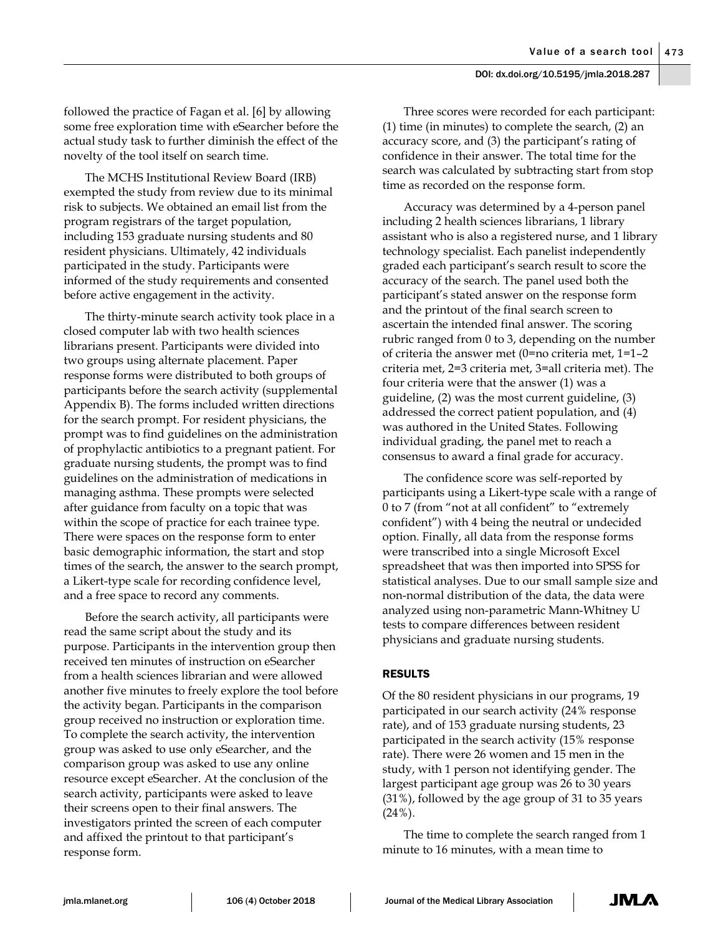followed the practice of Fagan et al. [6] by allowing some free exploration time with eSearcher before the actual study task to further diminish the effect of the novelty of the tool itself on search time.

The MCHS Institutional Review Board (IRB) exempted the study from review due to its minimal risk to subjects. We obtained an email list from the program registrars of the target population, including 153 graduate nursing students and 80 resident physicians. Ultimately, 42 individuals participated in the study. Participants were informed of the study requirements and consented before active engagement in the activity.

The thirty-minute search activity took place in a closed computer lab with two health sciences librarians present. Participants were divided into two groups using alternate placement. Paper response forms were distributed to both groups of participants before the search activity (supplemental Appendix B). The forms included written directions for the search prompt. For resident physicians, the prompt was to find guidelines on the administration of prophylactic antibiotics to a pregnant patient. For graduate nursing students, the prompt was to find guidelines on the administration of medications in managing asthma. These prompts were selected after guidance from faculty on a topic that was within the scope of practice for each trainee type. There were spaces on the response form to enter basic demographic information, the start and stop times of the search, the answer to the search prompt, a Likert-type scale for recording confidence level, and a free space to record any comments.

Before the search activity, all participants were read the same script about the study and its purpose. Participants in the intervention group then received ten minutes of instruction on eSearcher from a health sciences librarian and were allowed another five minutes to freely explore the tool before the activity began. Participants in the comparison group received no instruction or exploration time. To complete the search activity, the intervention group was asked to use only eSearcher, and the comparison group was asked to use any online resource except eSearcher. At the conclusion of the search activity, participants were asked to leave their screens open to their final answers. The investigators printed the screen of each computer and affixed the printout to that participant's response form.

Three scores were recorded for each participant: (1) time (in minutes) to complete the search, (2) an accuracy score, and (3) the participant's rating of confidence in their answer. The total time for the search was calculated by subtracting start from stop time as recorded on the response form.

Accuracy was determined by a 4-person panel including 2 health sciences librarians, 1 library assistant who is also a registered nurse, and 1 library technology specialist. Each panelist independently graded each participant's search result to score the accuracy of the search. The panel used both the participant's stated answer on the response form and the printout of the final search screen to ascertain the intended final answer. The scoring rubric ranged from 0 to 3, depending on the number of criteria the answer met (0=no criteria met, 1=1–2 criteria met, 2=3 criteria met, 3=all criteria met). The four criteria were that the answer (1) was a guideline, (2) was the most current guideline, (3) addressed the correct patient population, and (4) was authored in the United States. Following individual grading, the panel met to reach a consensus to award a final grade for accuracy.

The confidence score was self-reported by participants using a Likert-type scale with a range of 0 to 7 (from "not at all confident" to "extremely confident") with 4 being the neutral or undecided option. Finally, all data from the response forms were transcribed into a single Microsoft Excel spreadsheet that was then imported into SPSS for statistical analyses. Due to our small sample size and non-normal distribution of the data, the data were analyzed using non-parametric Mann-Whitney U tests to compare differences between resident physicians and graduate nursing students.

# RESULTS

Of the 80 resident physicians in our programs, 19 participated in our search activity (24% response rate), and of 153 graduate nursing students, 23 participated in the search activity (15% response rate). There were 26 women and 15 men in the study, with 1 person not identifying gender. The largest participant age group was 26 to 30 years (31%), followed by the age group of 31 to 35 years  $(24\%)$ .

The time to complete the search ranged from 1 minute to 16 minutes, with a mean time to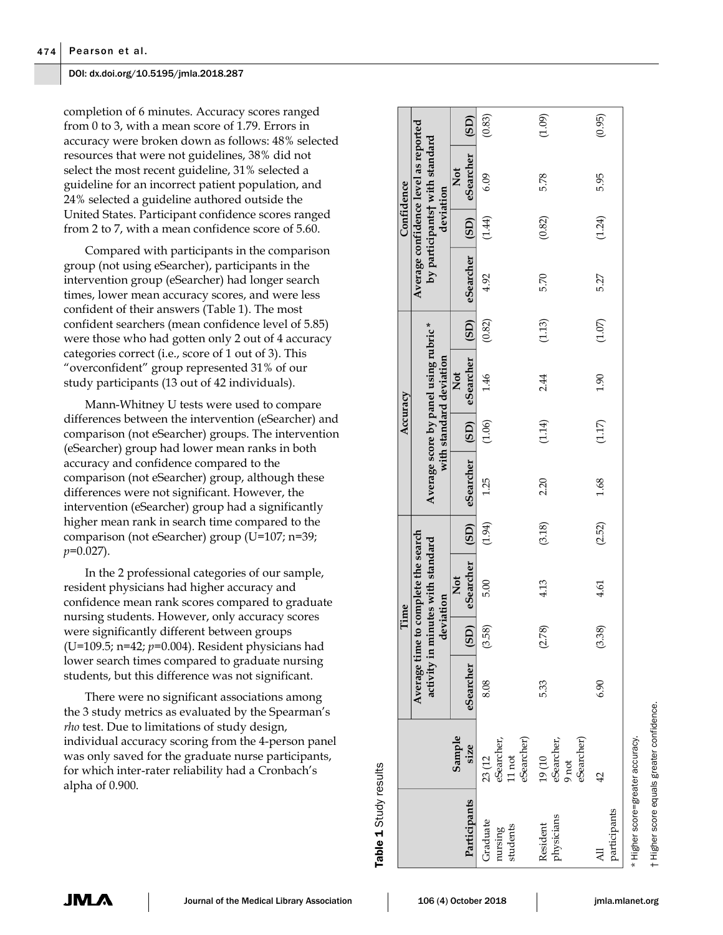completion of 6 minutes. Accuracy scores ranged from 0 to 3, with a mean score of 1.79. Errors in accuracy were broken down as follows: 48% selected resources that were not guidelines, 38% did not select the most recent guideline, 31% selected a guideline for an incorrect patient population, and 24% selected a guideline authored outside the United States. Participant confidence scores ranged from 2 to 7, with a mean confidence score of 5.60.

Compared with participants in the comparison group (not using eSearcher), participants in the intervention group (eSearcher) had longer search times, lower mean accuracy scores, and were less confident of their answers (Table 1). The most confident searchers (mean confidence level of 5.85) were those who had gotten only 2 out of 4 accuracy categories correct (i.e., score of 1 out of 3). This "overconfident" group represented 31% of our study participants (13 out of 42 individuals).

Mann-Whitney U tests were used to compare differences between the intervention (eSearcher) and comparison (not eSearcher) groups. The intervention (eSearcher) group had lower mean ranks in both accuracy and confidence compared to the comparison (not eSearcher) group, although these differences were not significant. However, the intervention (eSearcher) group had a significantly higher mean rank in search time compared to the comparison (not eSearcher) group (U=107; n=39; *p*=0.027).

In the 2 professional categories of our sample, resident physicians had higher accuracy and confidence mean rank scores compared to graduate nursing students. However, only accuracy scores were significantly different between groups (U=109.5; n=42; *p*=0.004). Resident physicians had lower search times compared to graduate nursing students, but this difference was not significant.

There were no significant associations among the 3 study metrics as evaluated by the Spearman's *rho* test. Due to limitations of study design, individual accuracy scoring from the 4-person panel was only saved for the graduate nurse participants, for which inter-rater reliability had a Cronbach's alpha of 0.900.

|                                 |                                                                                                  |                |           | Time                                                                     |        |                          | Accuracy |                                                                  |        |                | Confidence |                                                                                     |        |
|---------------------------------|--------------------------------------------------------------------------------------------------|----------------|-----------|--------------------------------------------------------------------------|--------|--------------------------|----------|------------------------------------------------------------------|--------|----------------|------------|-------------------------------------------------------------------------------------|--------|
|                                 |                                                                                                  |                | deviation | Average time to complete the search<br>activity in minutes with standard |        |                          |          | Average score by panel using rubric *<br>with standard deviation |        |                |            | Average confidence level as reported<br>by participants† with standard<br>deviation |        |
| Participants                    | Sample<br>size                                                                                   | eSearcher (SD) |           | eSearcher (SD)<br>Not                                                    |        | eSearcher (SD) eSearcher |          | Not                                                              | (SD)   | eSearcher (SD) |            | eSearcher<br>Not                                                                    | (SD)   |
| Graduate<br>nursing<br>students | eSearcher)<br>$\begin{array}{l} 23 \ (12 \\ \mathrm{eSearcher},\\ 11 \ \mathrm{not} \end{array}$ | 8.08           | (3.58)    | 5.00                                                                     | (1.94) | 1.25                     | (1.06)   | 1.46                                                             | (0.82) | 4.92           | (1.44)     | 6.09                                                                                | (0.83) |
| physicians<br>Resident          | eSearcher)<br>$19\left(10\right)$ eSearcher,<br>$9$ not                                          | 5.33           | (2.78)    | 4.13                                                                     | (3.18) | 2.20                     | (1.14)   | 2.44                                                             | (1.13) | 5.70           | (0.82)     | 5.78                                                                                | (1.09) |
| participants<br>₹               |                                                                                                  | 6.90           | (3.38)    | 4.61                                                                     | (2.52) | 1.68                     | (1.17)   | 1.90                                                             | (1.07) | 5.27           | (1.24)     | 5.95                                                                                | (0.95) |

† Higher score equals greater confidence.

score

Table 1

Study results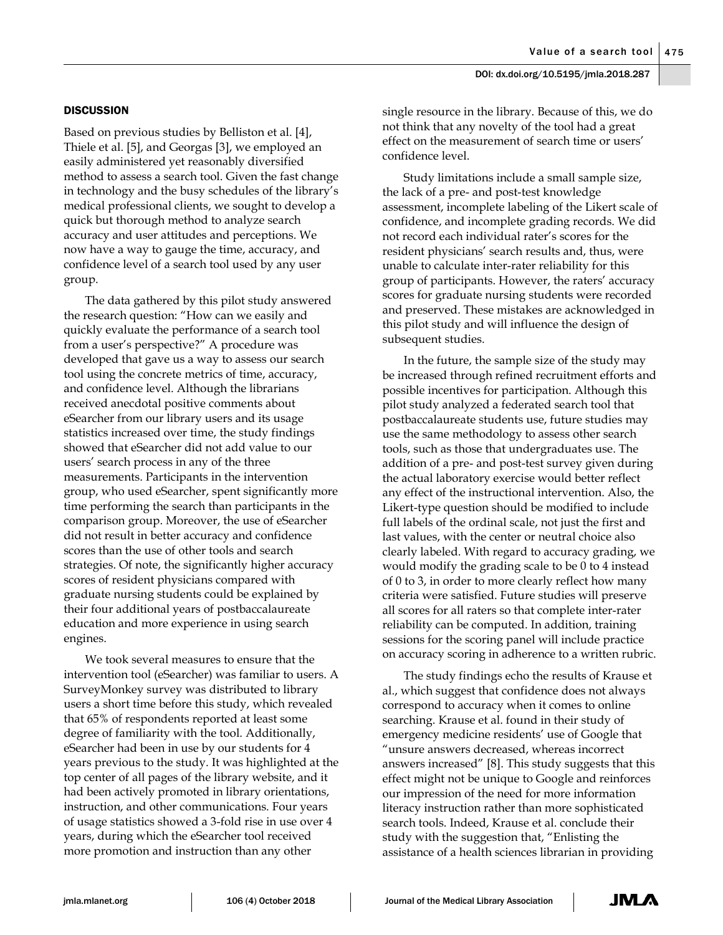# **DISCUSSION**

Based on previous studies by Belliston et al. [4], Thiele et al. [5], and Georgas [3], we employed an easily administered yet reasonably diversified method to assess a search tool. Given the fast change in technology and the busy schedules of the library's medical professional clients, we sought to develop a quick but thorough method to analyze search accuracy and user attitudes and perceptions. We now have a way to gauge the time, accuracy, and confidence level of a search tool used by any user group.

The data gathered by this pilot study answered the research question: "How can we easily and quickly evaluate the performance of a search tool from a user's perspective?" A procedure was developed that gave us a way to assess our search tool using the concrete metrics of time, accuracy, and confidence level. Although the librarians received anecdotal positive comments about eSearcher from our library users and its usage statistics increased over time, the study findings showed that eSearcher did not add value to our users' search process in any of the three measurements. Participants in the intervention group, who used eSearcher, spent significantly more time performing the search than participants in the comparison group. Moreover, the use of eSearcher did not result in better accuracy and confidence scores than the use of other tools and search strategies. Of note, the significantly higher accuracy scores of resident physicians compared with graduate nursing students could be explained by their four additional years of postbaccalaureate education and more experience in using search engines.

We took several measures to ensure that the intervention tool (eSearcher) was familiar to users. A SurveyMonkey survey was distributed to library users a short time before this study, which revealed that 65% of respondents reported at least some degree of familiarity with the tool. Additionally, eSearcher had been in use by our students for 4 years previous to the study. It was highlighted at the top center of all pages of the library website, and it had been actively promoted in library orientations, instruction, and other communications. Four years of usage statistics showed a 3-fold rise in use over 4 years, during which the eSearcher tool received more promotion and instruction than any other

single resource in the library. Because of this, we do not think that any novelty of the tool had a great effect on the measurement of search time or users' confidence level.

Study limitations include a small sample size, the lack of a pre- and post-test knowledge assessment, incomplete labeling of the Likert scale of confidence, and incomplete grading records. We did not record each individual rater's scores for the resident physicians' search results and, thus, were unable to calculate inter-rater reliability for this group of participants. However, the raters' accuracy scores for graduate nursing students were recorded and preserved. These mistakes are acknowledged in this pilot study and will influence the design of subsequent studies.

In the future, the sample size of the study may be increased through refined recruitment efforts and possible incentives for participation. Although this pilot study analyzed a federated search tool that postbaccalaureate students use, future studies may use the same methodology to assess other search tools, such as those that undergraduates use. The addition of a pre- and post-test survey given during the actual laboratory exercise would better reflect any effect of the instructional intervention. Also, the Likert-type question should be modified to include full labels of the ordinal scale, not just the first and last values, with the center or neutral choice also clearly labeled. With regard to accuracy grading, we would modify the grading scale to be 0 to 4 instead of 0 to 3, in order to more clearly reflect how many criteria were satisfied. Future studies will preserve all scores for all raters so that complete inter-rater reliability can be computed. In addition, training sessions for the scoring panel will include practice on accuracy scoring in adherence to a written rubric.

The study findings echo the results of Krause et al., which suggest that confidence does not always correspond to accuracy when it comes to online searching. Krause et al. found in their study of emergency medicine residents' use of Google that "unsure answers decreased, whereas incorrect answers increased" [8]. This study suggests that this effect might not be unique to Google and reinforces our impression of the need for more information literacy instruction rather than more sophisticated search tools. Indeed, Krause et al. conclude their study with the suggestion that, "Enlisting the assistance of a health sciences librarian in providing